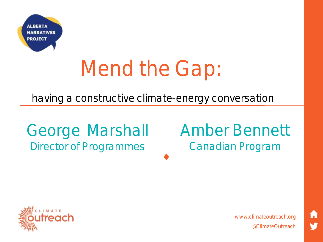

## Mend the Gap:

having a constructive climate-energy conversation

George Marshall Director of Programmes

Amber Bennett Canadian Program



[www.climateoutreach.org](https://climateoutreach.org/) [@ClimateOutreach](https://twitter.com/climateoutreach)

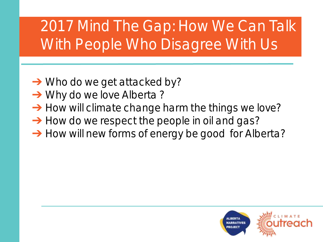## 2017 Mind The Gap: How We Can Talk With People Who Disagree With Us

- **→** Who do we get attacked by?
- **→ Why do we love Alberta?**
- **→** How will climate change harm the things we love?
- **→ How do we respect the people in oil and gas?**
- → How will new forms of energy be good for Alberta?

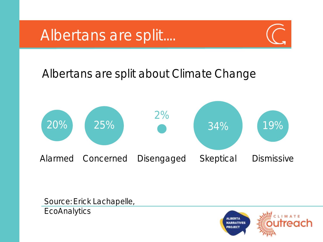#### Albertans are split....



#### Albertans are split about Climate Change



Source: Erick Lachapelle, **EcoAnalytics** 

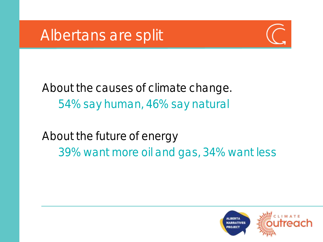#### Albertans are split



About the causes of climate change. 54% say human, 46% say natural

About the future of energy 39% want more oil and gas, 34% want less

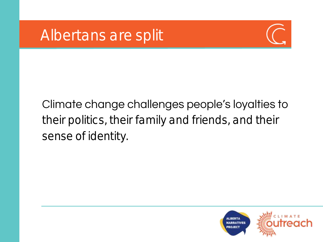#### Albertans are split



#### Climate change challenges people's loyalties to their politics, their family and friends, and their sense of identity.

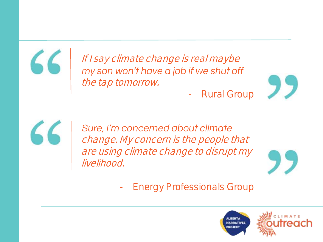

If I say climate change is real maybe my son won't have a job if we shut off the tap tomorrow.

- Rural Group



Sure, I'm concerned about climate change. My concern is the people that are using climate change to disrupt my livelihood.



**Energy Professionals Group** 

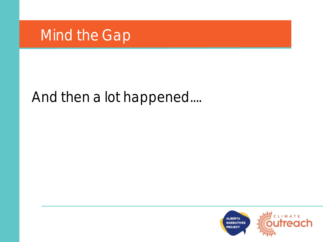#### Mind the Gap

#### And then a lot happened....

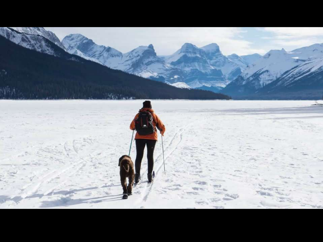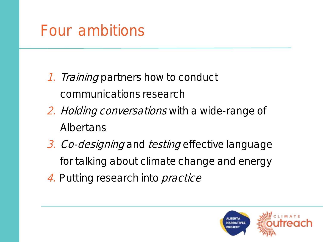### Four ambitions

- 1. Training partners how to conduct communications research
- 2. Holding conversations with a wide-range of Albertans
- 3. Co-designing and testing effective language for talking about climate change and energy
- 4. Putting research into practice

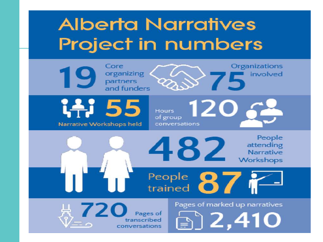## **Alberta Narratives Project in numbers**

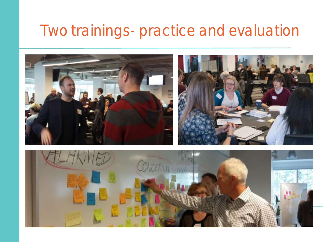### Two trainings- practice and evaluation



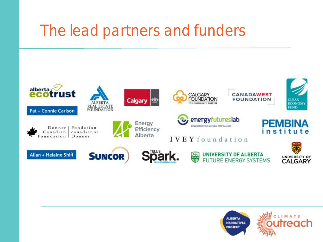### The lead partners and funders



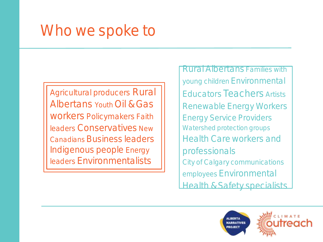### Who we spoke to

Agricultural producers Rural Albertans Youth Oil & Gas workers Policymakers Faith leaders Conservatives New Canadians Business leaders Indigenous people Energy leaders Environmentalists

Rural Albertans Families with young children Environmental Educators Teachers Artists Renewable Energy Workers Energy Service Providers Watershed protection groups Health Care workers and professionals City of Calgary communications employees Environmental Health & Safety specialists

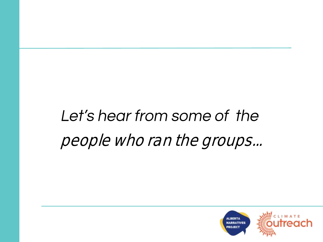## Let's hear from some of the people who ran the groups...

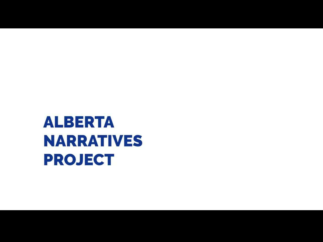# **ALBERTA<br>NARRATIVES PROJECT**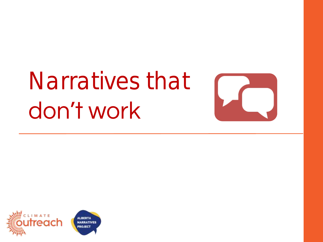# Narratives that don't work





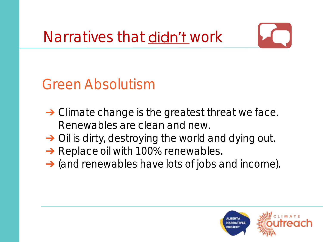

### Green Absolutism

- **→ Climate change is the greatest threat we face.** Renewables are clean and new.
- ➔ Oil is dirty, destroying the world and dying out.
- **→ Replace oil with 100% renewables.**
- **→** (and renewables have lots of jobs and income).

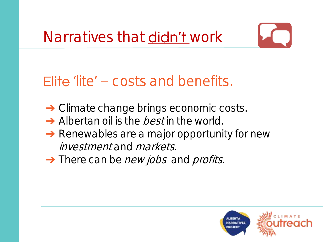

#### Elite 'lite' – costs and benefits.

- **→ Climate change brings economic costs.**
- $\rightarrow$  Albertan oil is the *best* in the world.
- **→ Renewables are a major opportunity for new** investment and markets.
- **→ There can be new jobs and profits.**

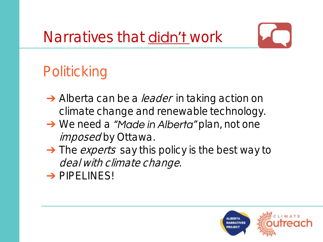

### **Politicking**

- **→ Alberta can be a** *leader* in taking action on climate change and renewable technology.
- → We need a "Made in Alberta" plan, not one *imposed* by Ottawa.
- → The *experts* say this policy is the best way to deal with climate change.
- **→ PIPELINES!**

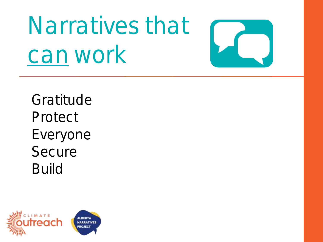



Gratitude Protect Everyone Secure Build

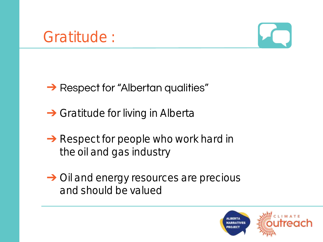#### Gratitude :



Respect for "Albertan qualities"

- **→ Gratitude for living in Alberta**
- **→ Respect for people who work hard in** the oil and gas industry
- **→ Oil and energy resources are precious** and should be valued

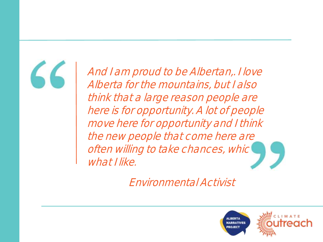

And I am proud to be Albertan,. I love Alberta for the mountains, but I also think that a large reason people are here is for opportunity. A lot of people move here for opportunity and I think the new people that come here are often willing to take chances, which what I like.

Environmental Activist

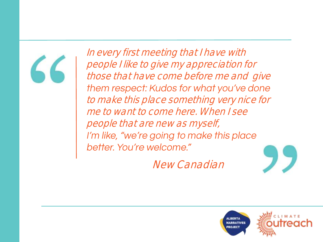

In every first meeting that I have with people I like to give my appreciation for those that have come before me and give them respect: Kudos for what you've done to make this place something very nice for me to want to come here. When I see people that are new as myself, I'm like, "we're going to make this place better. You're welcome."

New Canadian

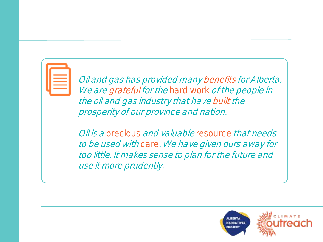Oil and gas has provided many benefits for Alberta. We are grateful for the hard work of the people in the oil and gas industry that have built the prosperity of our province and nation.

Oil is a precious and valuable resource that needs to be used with care. We have given ours away for too little. It makes sense to plan for the future and use it more prudently.

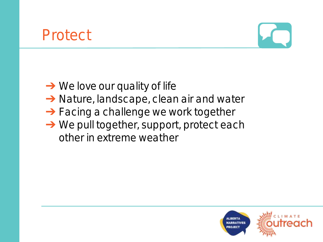#### Protect



- **→ We love our quality of life → Nature, landscape, clean air and water → Facing a challenge we work together → We pull together, support, protect each** 
	- other in extreme weather

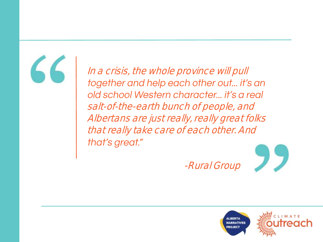

In a crisis, the whole province will pull together and help each other out... it's an old school Western character... it's a real salt-of-the-earth bunch of people, and Albertans are just really, really great folks that really take care of each other. And that's great."

-Rural Group



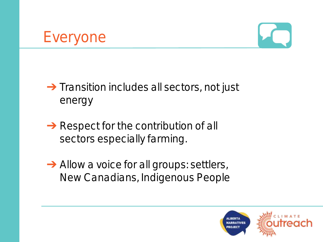#### Everyone



#### **→ Transition includes all sectors, not just** energy

- **→ Respect for the contribution of all** sectors especially farming.
- **→ Allow a voice for all groups: settlers,** New Canadians, Indigenous People

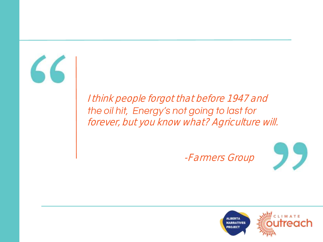

#### I think people forgot that before 1947 and the oil hit, Energy's not going to last for forever, but you know what? Agriculture will.

-Farmers Group



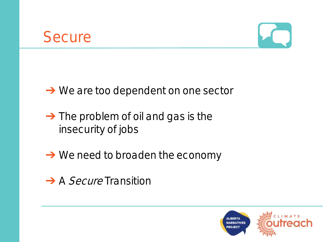#### Secure



**→ We are too dependent on one sector** 

- **→** The problem of oil and gas is the insecurity of jobs
- **→ We need to broaden the economy**
- **→ A Secure Transition**

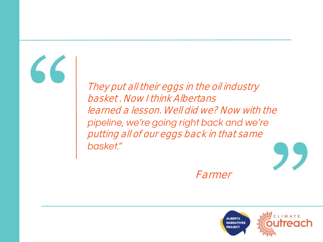

They put all their eggs in the oil industry basket . Now I think Albertans learned a lesson. Well did we? Now with the pipeline, we're going right back and we're putting all of our eggs back in that same basket."

Farmer

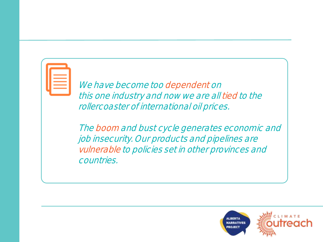We have become too dependent on this one industry and now we are all tied to the rollercoaster of international oil prices.

The boom and bust cycle generates economic and job insecurity. Our products and pipelines are vulnerable to policies set in other provinces and countries.

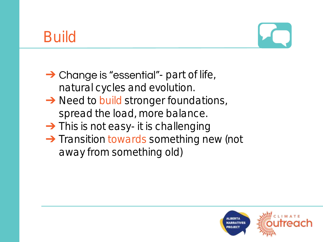#### Build



- $\rightarrow$  Change is "essential" part of life, natural cycles and evolution.
- **→ Need to build stronger foundations,** spread the load, more balance.
- **→ This is not easy- it is challenging**
- **→ Transition towards something new (not** away from something old)

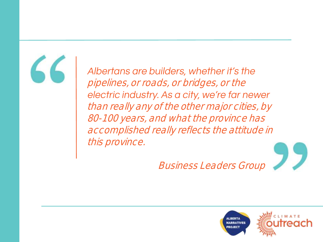Albertans are builders, whether it's the pipelines, or roads, or bridges, or the electric industry. As a city, we're far newer than really any of the other major cities, by 80-100 years, and what the province has accomplished really reflects the attitude in this province.

Business Leaders Group

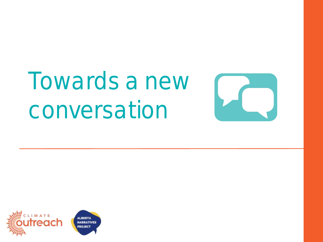# Towards a new conversation



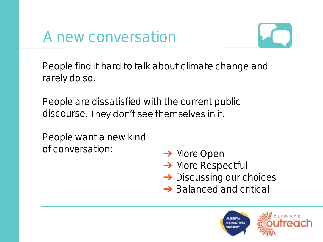### A new conversation



People find it hard to talk about climate change and rarely do so.

People are dissatisfied with the current public discourse. They don't see themselves in it.

People want a new kind of conversation: ➔ More Open

- 
- **→ More Respectful**
- **→** Discussing our choices
- **→** Balanced and critical

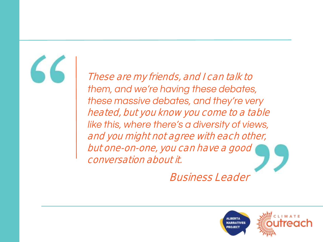These are my friends, and I can talk to them, and we're having these debates, these massive debates, and they're very heated, but you know you come to a table like this, where there's a diversity of views, and you might not agree with each other, but one-on-one, you can have a good conversation about it.

Business Leader

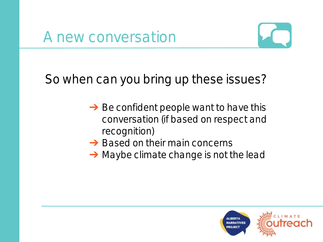

#### So when can you bring up these issues?

- $\rightarrow$  Be confident people want to have this conversation (if based on respect and recognition)
- **→ Based on their main concerns**
- ➔ Maybe climate change is not the lead